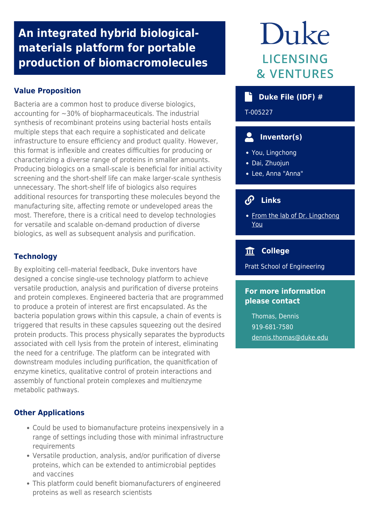## **An integrated hybrid biologicalmaterials platform for portable production of biomacromolecules**

## **Value Proposition**

Bacteria are a common host to produce diverse biologics, accounting for ~30% of biopharmaceuticals. The industrial synthesis of recombinant proteins using bacterial hosts entails multiple steps that each require a sophisticated and delicate infrastructure to ensure efficiency and product quality. However, this format is inflexible and creates difficulties for producing or characterizing a diverse range of proteins in smaller amounts. Producing biologics on a small-scale is beneficial for initial activity screening and the short-shelf life can make larger-scale synthesis unnecessary. The short-shelf life of biologics also requires additional resources for transporting these molecules beyond the manufacturing site, affecting remote or undeveloped areas the most. Therefore, there is a critical need to develop technologies for versatile and scalable on-demand production of diverse biologics, as well as subsequent analysis and purification.

#### **Technology**

By exploiting cell–material feedback, Duke inventors have designed a concise single-use technology platform to achieve versatile production, analysis and purification of diverse proteins and protein complexes. Engineered bacteria that are programmed to produce a protein of interest are first encapsulated. As the bacteria population grows within this capsule, a chain of events is triggered that results in these capsules squeezing out the desired protein products. This process physically separates the byproducts associated with cell lysis from the protein of interest, eliminating the need for a centrifuge. The platform can be integrated with downstream modules including purification, the quanitfication of enzyme kinetics, qualitative control of protein interactions and assembly of functional protein complexes and multienzyme metabolic pathways.

### **Other Applications**

- Could be used to biomanufacture proteins inexpensively in a range of settings including those with minimal infrastructure requirements
- Versatile production, analysis, and/or purification of diverse proteins, which can be extended to antimicrobial peptides and vaccines
- This platform could benefit biomanufacturers of engineered proteins as well as research scientists

# Duke **LICENSING & VENTURES**

## **Duke File (IDF) #**

T-005227

## **Inventor(s)**

- You, Lingchong
- Dai, Zhuojun
- Lee, Anna "Anna"

## **Links**

• [From the lab of Dr. Lingchong](https://genome.duke.edu/labs/YouLab/) [You](https://genome.duke.edu/labs/YouLab/)

## **College**

Pratt School of Engineering

#### **For more information please contact**

Thomas, Dennis 919-681-7580 [dennis.thomas@duke.edu](mailto:dennis.thomas@duke.edu)